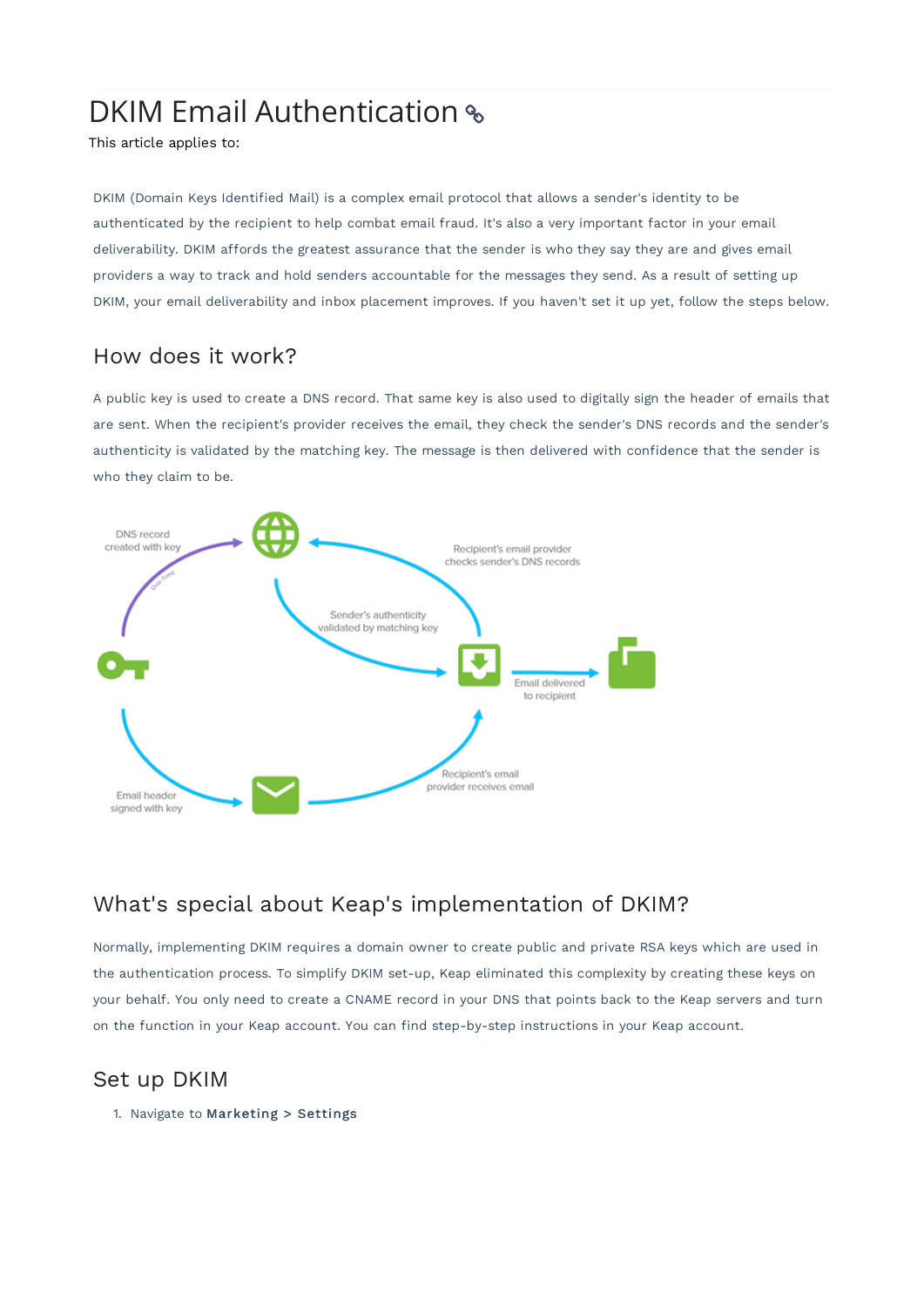# DKIM Email Authentication %

This article applies to:

DKIM (Domain Keys Identified Mail) is a complex email protocol that allows a sender's identity to be authenticated by the recipient to help combat email fraud. It's also a very important factor in your email deliverability. DKIM affords the greatest assurance that the sender is who they say they are and gives email providers a way to track and hold senders accountable for the messages they send. As a result of setting up DKIM, your email deliverability and inbox placement improves. If you haven't set it up yet, follow the steps below.

# How does it work?

A public key is used to create a DNS record. That same key is also used to digitally sign the header of emails that are sent. When the recipient's provider receives the email, they check the sender's DNS records and the sender's authenticity is validated by the matching key. The message is then delivered with confidence that the sender is who they claim to be.



# What's special about Keap's implementation of DKIM?

Normally, implementing DKIM requires a domain owner to create public and private RSA keys which are used in the authentication process. To simplify DKIM set-up, Keap eliminated this complexity by creating these keys on your behalf. You only need to create a CNAME record in your DNS that points back to the Keap servers and turn on the function in your Keap account. You can find step-by-step instructions in your Keap account.

### Set up DKIM

1. Navigate to Marketing > Settings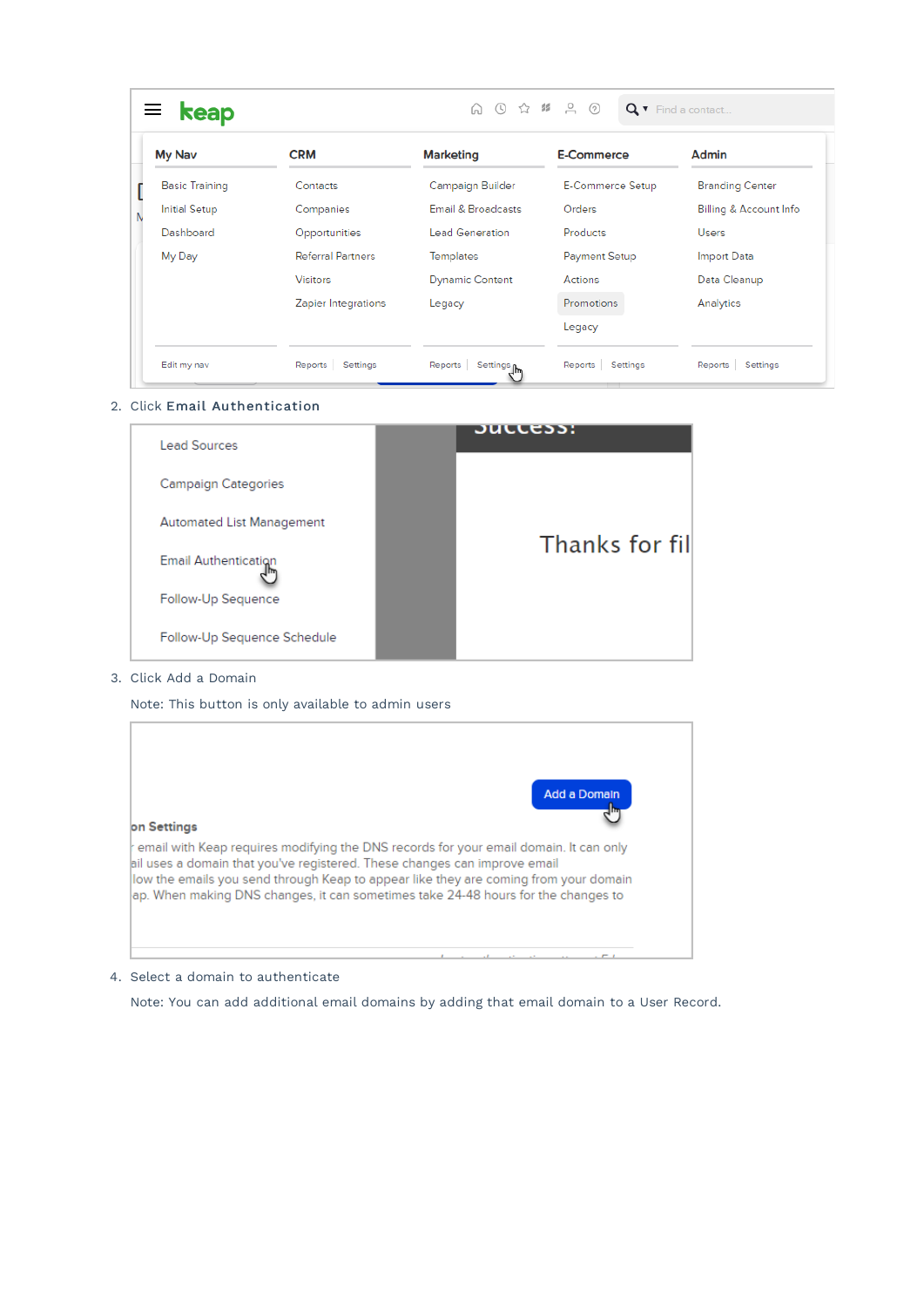| My Nav                | <b>CRM</b>               | <b>Marketing</b>       | E-Commerce           | Admin                  |
|-----------------------|--------------------------|------------------------|----------------------|------------------------|
| <b>Basic Training</b> | Contacts                 | Campaign Builder       | E-Commerce Setup     | <b>Branding Center</b> |
| <b>Initial Setup</b>  | Companies                | Email & Broadcasts     | Orders               | Billing & Account Info |
| Dashboard             | Opportunities            | <b>Lead Generation</b> | <b>Products</b>      | <b>Users</b>           |
| My Day                | <b>Referral Partners</b> | Templates              | <b>Payment Setup</b> | Import Data            |
|                       | <b>Visitors</b>          | <b>Dynamic Content</b> | Actions              | Data Cleanup           |
|                       | Zapier Integrations      | Legacy                 | <b>Promotions</b>    | Analytics              |
|                       |                          |                        | Legacy               |                        |

#### 2. Click Email Authentication

| <b>Lead Sources</b>              | buccess:        |
|----------------------------------|-----------------|
| <b>Campaign Categories</b>       |                 |
| <b>Automated List Management</b> |                 |
| <b>Email Authentication</b>      | Thanks for fill |
| Follow-Up Sequence               |                 |
| Follow-Up Sequence Schedule      |                 |

#### 3. Click Add a Domain

Note: This button is only available to admin users



4. Select a domain to authenticate

Note: You can add additional email domains by adding that email domain to a User Record.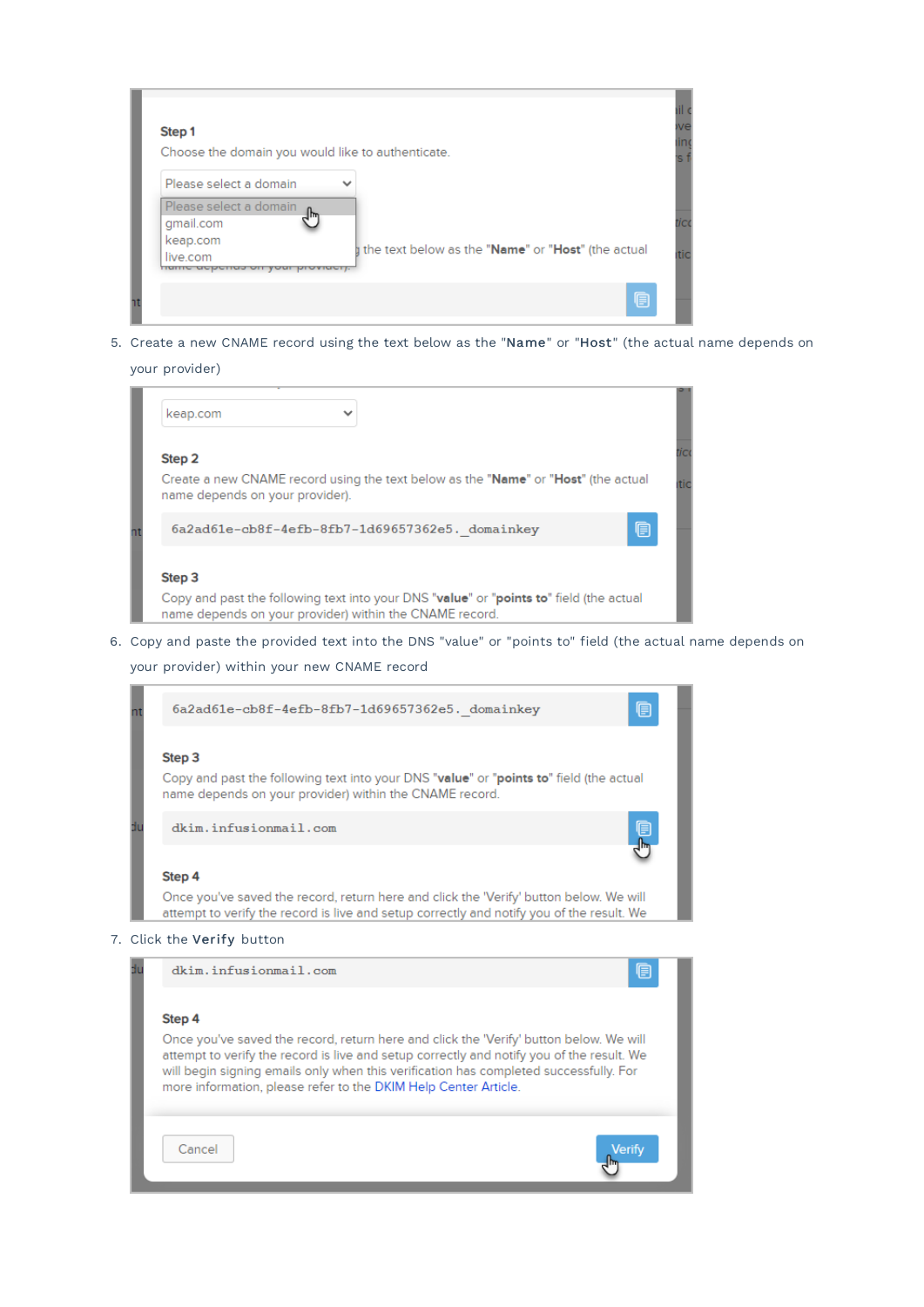| Step 1<br>Choose the domain you would like to authenticate. |                                                    |
|-------------------------------------------------------------|----------------------------------------------------|
| Please select a domain                                      |                                                    |
| Please select a domain                                      |                                                    |
| qmail.com                                                   |                                                    |
| keap.com                                                    | the text below as the "Name" or "Host" (the actual |
| live.com<br><u>קוסטומטס טון קטער קוטעזעכון.</u>             |                                                    |
|                                                             |                                                    |

5. Create a new CNAME record using the text below as the "Name" or "Host" (the actual name depends on

#### your provider)



6. Copy and paste the provided text into the DNS "value" or "points to" field (the actual name depends on

your provider) within your new CNAME record



#### Step 4

Once you've saved the record, return here and click the 'Verify' button below. We will attempt to verify the record is live and setup correctly and notify you of the result. We will begin signing emails only when this verification has completed successfully. For more information, please refer to the DKIM Help Center Article.

Verify

Cancel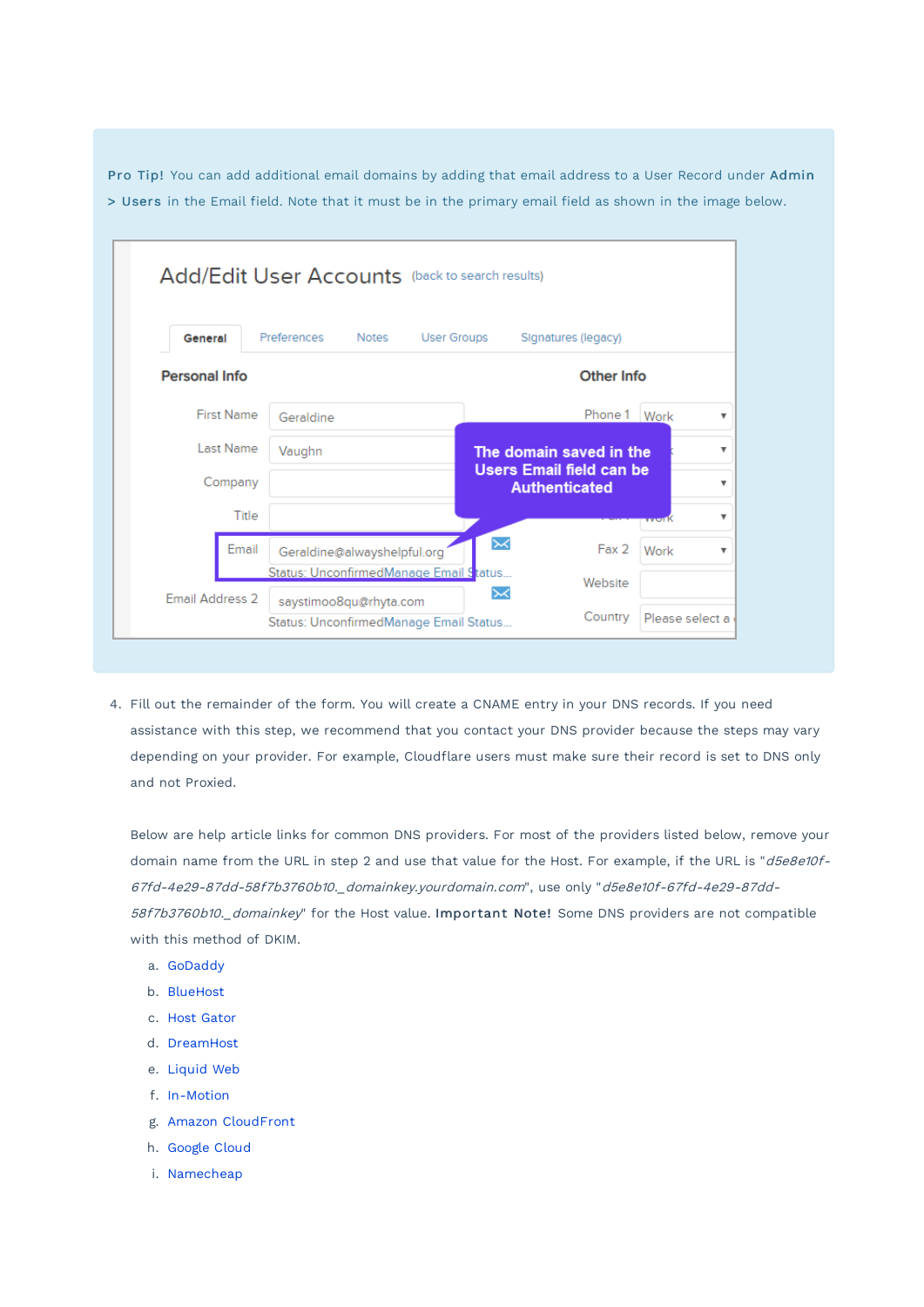Pro Tip! You can add additional email domains by adding that email address to a User Record under Admin > Users in the Email field. Note that it must be in the primary email field as shown in the image below.

| General              | Preferences<br><b>Notes</b><br><b>User Groups</b> | Signatures (legacy)                                     |       |
|----------------------|---------------------------------------------------|---------------------------------------------------------|-------|
| <b>Personal Info</b> |                                                   | Other Info                                              |       |
| <b>First Name</b>    | Geraldine                                         | Phone 1 Work                                            |       |
| Last Name            | Vaughn                                            | The domain saved in the                                 |       |
| Company              |                                                   | <b>Users Email field can be</b><br><b>Authenticated</b> |       |
| Title                |                                                   |                                                         | rvorK |
| Email                | Geraldine@alwayshelpful.org                       | $\boldsymbol{\times}$<br>Fax2                           | Work  |
|                      |                                                   |                                                         |       |

4. Fill out the remainder of the form. You will create a CNAME entry in your DNS records. If you need assistance with this step, we recommend that you contact your DNS provider because the steps may vary depending on your provider. For example, Cloudflare users must make sure their record is set to DNS only and not Proxied.

Below are help article links for common DNS providers. For most of the providers listed below, remove your domain name from the URL in step 2 and use that value for the Host. For example, if the URL is "d5e8e10f-67fd-4e29-87dd-58f7b3760b10.\_domainkey.yourdomain.com", use only "d5e8e10f-67fd-4e29-87dd-58f7b3760b10.\_domainkey" for the Host value. Important Note! Some DNS providers are not compatible with this method of DKIM.

- a. GoDaddy
- b. BlueHost
- c. Host Gator
- d. DreamHost
- e. Liquid Web
- f. In-Motion
- g. Amazon CloudFront
- h. Google Cloud
- i. Namecheap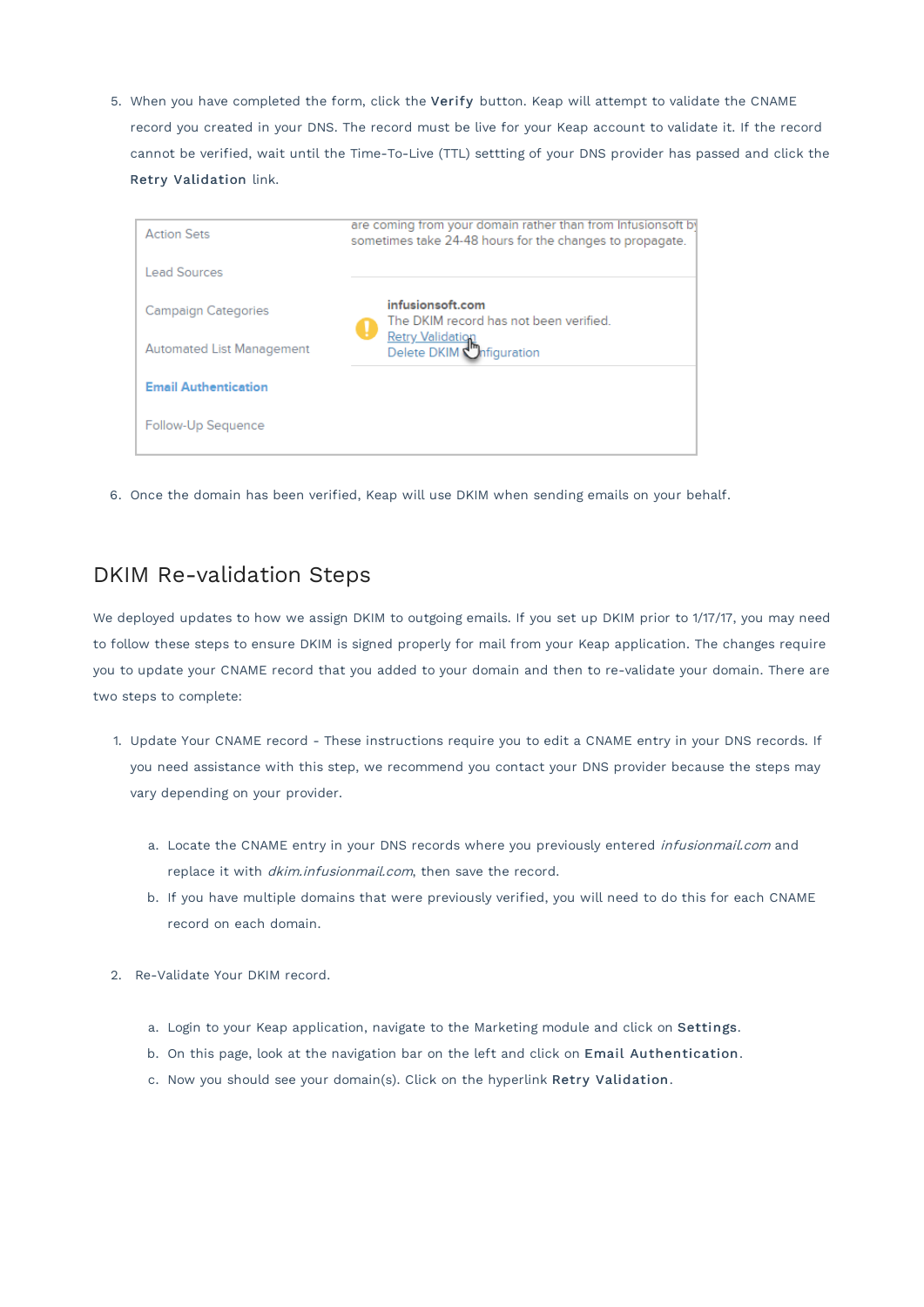5. When you have completed the form, click the Verify button. Keap will attempt to validate the CNAME record you created in your DNS. The record must be live for your Keap account to validate it. If the record cannot be verified, wait until the Time-To-Live (TTL) settting of your DNS provider has passed and click the Retry Validation link.

| <b>Action Sets</b>               | are coming from your domain rather than from Infusionsoft by<br>sometimes take 24-48 hours for the changes to propagate. |
|----------------------------------|--------------------------------------------------------------------------------------------------------------------------|
| <b>Lead Sources</b>              |                                                                                                                          |
| <b>Campaign Categories</b>       | infusionsoft.com<br>The DKIM record has not been verified.<br>u                                                          |
| <b>Automated List Management</b> | Retry Validation<br>Delete DKIM Configuration                                                                            |
| <b>Email Authentication</b>      |                                                                                                                          |
| Follow-Up Sequence               |                                                                                                                          |

6. Once the domain has been verified, Keap will use DKIM when sending emails on your behalf.

### DKIM Re-validation Steps

We deployed updates to how we assign DKIM to outgoing emails. If you set up DKIM prior to 1/17/17, you may need to follow these steps to ensure DKIM is signed properly for mail from your Keap application. The changes require you to update your CNAME record that you added to your domain and then to re-validate your domain. There are two steps to complete:

- 1. Update Your CNAME record These instructions require you to edit a CNAME entry in your DNS records. If you need assistance with this step, we recommend you contact your DNS provider because the steps may vary depending on your provider.
	- a. Locate the CNAME entry in your DNS records where you previously entered *infusionmail.com* and replace it with *dkim.infusionmail.com*, then save the record.
	- b. If you have multiple domains that were previously verified, you will need to do this for each CNAME record on each domain.
- 2. Re-Validate Your DKIM record.
	- a. Login to your Keap application, navigate to the Marketing module and click on Settings.
	- b. On this page, look at the navigation bar on the left and click on Email Authentication.
	- c. Now you should see your domain(s). Click on the hyperlink Retry Validation.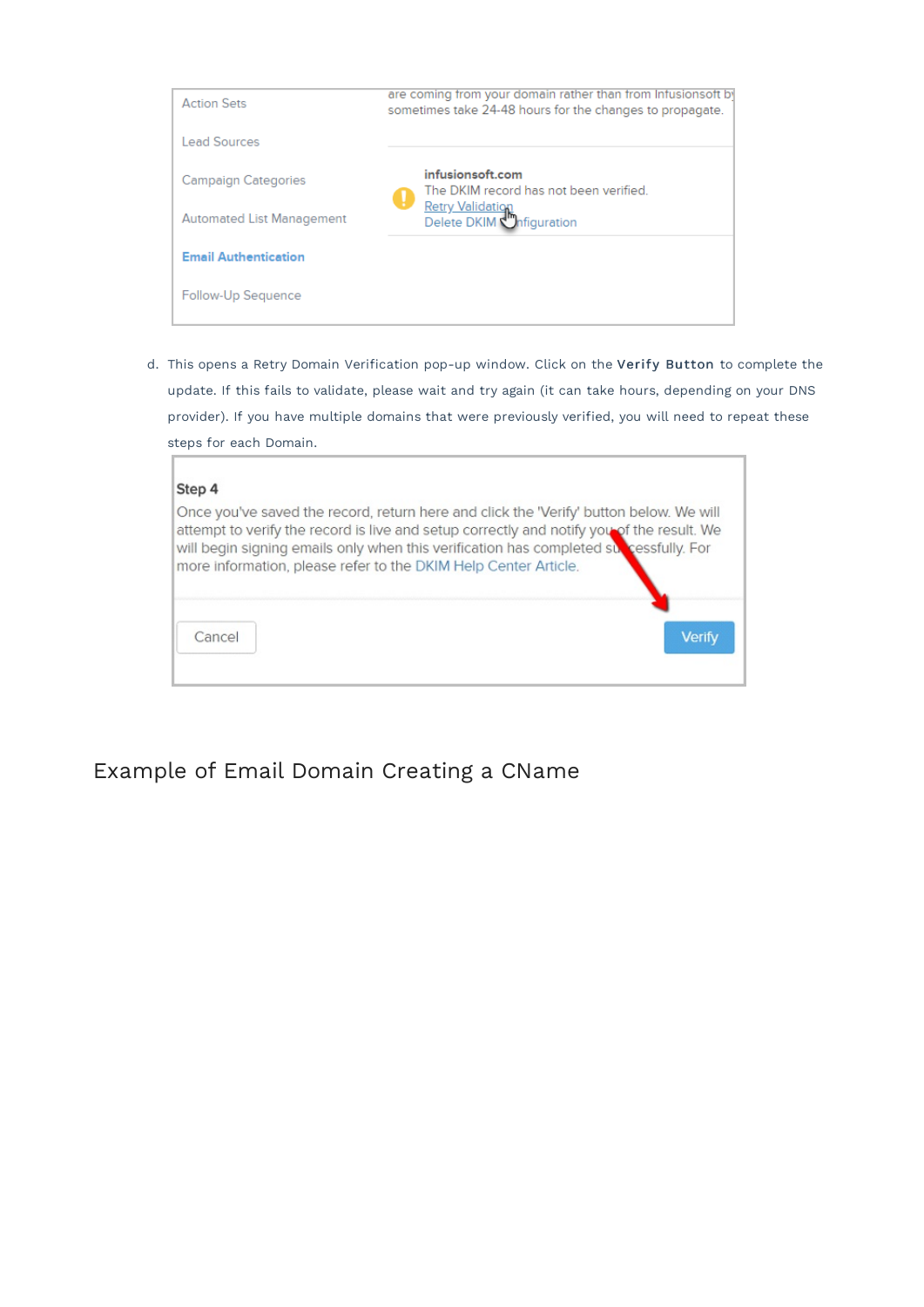| <b>Action Sets</b>               | are coming from your domain rather than from Infusionsoft by<br>sometimes take 24-48 hours for the changes to propagate. |  |  |
|----------------------------------|--------------------------------------------------------------------------------------------------------------------------|--|--|
| <b>Lead Sources</b>              |                                                                                                                          |  |  |
| <b>Campaign Categories</b>       | infusionsoft.com<br>The DKIM record has not been verified.<br>u                                                          |  |  |
| <b>Automated List Management</b> | <b>Retry Validation</b><br>Delete DKIM <i>Infiguration</i>                                                               |  |  |
| <b>Email Authentication</b>      |                                                                                                                          |  |  |
| Follow-Up Sequence               |                                                                                                                          |  |  |

d. This opens a Retry Domain Verification pop-up window. Click on the Verify Button to complete the update. If this fails to validate, please wait and try again (it can take hours, depending on your DNS provider). If you have multiple domains that were previously verified, you will need to repeat these steps for each Domain.

| Step 4                                                                                                                                                                                                                                                                                                                                            |        |
|---------------------------------------------------------------------------------------------------------------------------------------------------------------------------------------------------------------------------------------------------------------------------------------------------------------------------------------------------|--------|
| Once you've saved the record, return here and click the 'Verify' button below. We will<br>attempt to verify the record is live and setup correctly and notify you of the result. We<br>will begin signing emails only when this verification has completed surfacessfully. For<br>more information, please refer to the DKIM Help Center Article. |        |
| Cancel                                                                                                                                                                                                                                                                                                                                            | Verify |

Example of Email Domain Creating a CName